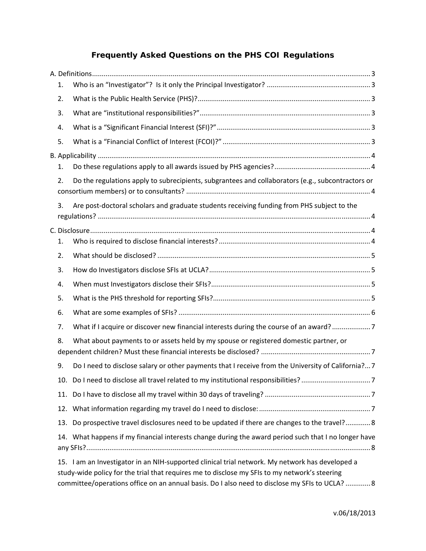# **Frequently Asked Questions on the PHS COI Regulations**

| 1.  |                                                                                                                                                                                                                                                                                                    |
|-----|----------------------------------------------------------------------------------------------------------------------------------------------------------------------------------------------------------------------------------------------------------------------------------------------------|
| 2.  |                                                                                                                                                                                                                                                                                                    |
| 3.  |                                                                                                                                                                                                                                                                                                    |
| 4.  |                                                                                                                                                                                                                                                                                                    |
| 5.  |                                                                                                                                                                                                                                                                                                    |
|     |                                                                                                                                                                                                                                                                                                    |
| 1.  |                                                                                                                                                                                                                                                                                                    |
| 2.  | Do the regulations apply to subrecipients, subgrantees and collaborators (e.g., subcontractors or                                                                                                                                                                                                  |
| 3.  | Are post-doctoral scholars and graduate students receiving funding from PHS subject to the                                                                                                                                                                                                         |
|     |                                                                                                                                                                                                                                                                                                    |
| 1.  |                                                                                                                                                                                                                                                                                                    |
| 2.  |                                                                                                                                                                                                                                                                                                    |
| 3.  |                                                                                                                                                                                                                                                                                                    |
| 4.  |                                                                                                                                                                                                                                                                                                    |
| 5.  |                                                                                                                                                                                                                                                                                                    |
| 6.  |                                                                                                                                                                                                                                                                                                    |
| 7.  | What if I acquire or discover new financial interests during the course of an award?7                                                                                                                                                                                                              |
| 8.  | What about payments to or assets held by my spouse or registered domestic partner, or                                                                                                                                                                                                              |
| 9.  | Do I need to disclose salary or other payments that I receive from the University of California? 7                                                                                                                                                                                                 |
|     |                                                                                                                                                                                                                                                                                                    |
|     |                                                                                                                                                                                                                                                                                                    |
|     |                                                                                                                                                                                                                                                                                                    |
| 13. | Do prospective travel disclosures need to be updated if there are changes to the travel? 8                                                                                                                                                                                                         |
|     | 14. What happens if my financial interests change during the award period such that I no longer have                                                                                                                                                                                               |
|     | 15. I am an Investigator in an NIH-supported clinical trial network. My network has developed a<br>study-wide policy for the trial that requires me to disclose my SFIs to my network's steering<br>committee/operations office on an annual basis. Do I also need to disclose my SFIs to UCLA?  8 |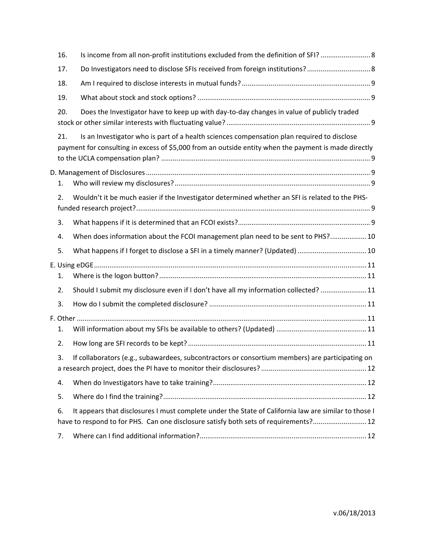| 16. | Is income from all non-profit institutions excluded from the definition of SFI?                                                                                                                    |  |
|-----|----------------------------------------------------------------------------------------------------------------------------------------------------------------------------------------------------|--|
| 17. | Do Investigators need to disclose SFIs received from foreign institutions? 8                                                                                                                       |  |
| 18. |                                                                                                                                                                                                    |  |
| 19. |                                                                                                                                                                                                    |  |
| 20. | Does the Investigator have to keep up with day-to-day changes in value of publicly traded                                                                                                          |  |
| 21. | Is an Investigator who is part of a health sciences compensation plan required to disclose<br>payment for consulting in excess of \$5,000 from an outside entity when the payment is made directly |  |
|     |                                                                                                                                                                                                    |  |
| 1.  |                                                                                                                                                                                                    |  |
| 2.  | Wouldn't it be much easier if the Investigator determined whether an SFI is related to the PHS-                                                                                                    |  |
| 3.  |                                                                                                                                                                                                    |  |
| 4.  | When does information about the FCOI management plan need to be sent to PHS? 10                                                                                                                    |  |
| 5.  | What happens if I forget to disclose a SFI in a timely manner? (Updated)  10                                                                                                                       |  |
| 1.  |                                                                                                                                                                                                    |  |
| 2.  | Should I submit my disclosure even if I don't have all my information collected?  11                                                                                                               |  |
| 3.  |                                                                                                                                                                                                    |  |
|     |                                                                                                                                                                                                    |  |
| 1.  |                                                                                                                                                                                                    |  |
| 2.  |                                                                                                                                                                                                    |  |
| 3.  | If collaborators (e.g., subawardees, subcontractors or consortium members) are participating on                                                                                                    |  |
| 4.  |                                                                                                                                                                                                    |  |
| 5.  |                                                                                                                                                                                                    |  |
| 6.  | It appears that disclosures I must complete under the State of California law are similar to those I<br>have to respond to for PHS. Can one disclosure satisfy both sets of requirements? 12       |  |
| 7.  |                                                                                                                                                                                                    |  |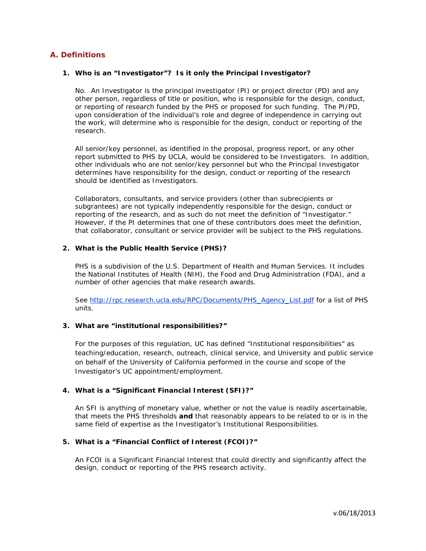# **A. Definitions**

#### **1. Who is an "Investigator"? Is it only the Principal Investigator?**

No. An Investigator is the principal investigator (PI) or project director (PD) *and* any other person, regardless of title or position, who is responsible for the design, conduct, or reporting of research funded by the PHS or proposed for such funding. The PI/PD, upon consideration of the individual's role and degree of independence in carrying out the work, will determine who is responsible for the design, conduct or reporting of the research.

All senior/key personnel, as identified in the proposal, progress report, or any other report submitted to PHS by UCLA, would be considered to be Investigators. In addition, other individuals who are not senior/key personnel but who the Principal Investigator determines have responsibility for the design, conduct or reporting of the research should be identified as Investigators.

Collaborators, consultants, and service providers (other than subrecipients or subgrantees) are not typically independently responsible for the design, conduct or reporting of the research, and as such do not meet the definition of "Investigator." However, if the PI determines that one of these contributors does meet the definition, that collaborator, consultant or service provider will be subject to the PHS regulations.

#### **2. What is the Public Health Service (PHS)?**

PHS is a subdivision of the U.S. Department of Health and Human Services. It includes the National Institutes of Health (NIH), the Food and Drug Administration (FDA), and a number of other agencies that make research awards.

See http://rpc.research.ucla.edu/RPC/Documents/PHS\_Agency\_List.pdf for a list of PHS units.

# **3. What are "institutional responsibilities?"**

For the purposes of this regulation, UC has defined "Institutional responsibilities" as teaching/education, research, outreach, clinical service, and University and public service on behalf of the University of California performed in the course and scope of the Investigator's UC appointment/employment.

## **4. What is a "Significant Financial Interest (SFI)?"**

An SFI is anything of monetary value, whether or not the value is readily ascertainable, that meets the PHS thresholds **and** that reasonably appears to be related to or is in the same field of expertise as the Investigator's Institutional Responsibilities.

## **5. What is a "Financial Conflict of Interest (FCOI)?"**

An FCOI is a Significant Financial Interest that could directly and significantly affect the design, conduct or reporting of the PHS research activity.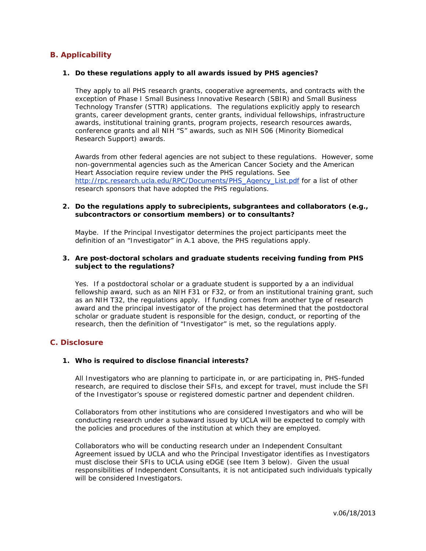# **B. Applicability**

#### **1. Do these regulations apply to all awards issued by PHS agencies?**

They apply to all PHS research grants, cooperative agreements, and contracts with the exception of Phase I Small Business Innovative Research (SBIR) and Small Business Technology Transfer (STTR) applications. The regulations explicitly apply to research grants, career development grants, center grants, individual fellowships, infrastructure awards, institutional training grants, program projects, research resources awards, conference grants and all NIH "S" awards, such as NIH S06 (Minority Biomedical Research Support) awards.

Awards from other federal agencies are not subject to these regulations. However, some non-governmental agencies such as the American Cancer Society and the American Heart Association require review under the PHS regulations. See http://rpc.research.ucla.edu/RPC/Documents/PHS\_Agency\_List.pdf for a list of other research sponsors that have adopted the PHS regulations.

#### **2. Do the regulations apply to subrecipients, subgrantees and collaborators (e.g., subcontractors or consortium members) or to consultants?**

Maybe. If the Principal Investigator determines the project participants meet the definition of an "Investigator" in A.1 above, the PHS regulations apply.

## **3. Are post-doctoral scholars and graduate students receiving funding from PHS subject to the regulations?**

Yes. If a postdoctoral scholar or a graduate student is supported by a an individual fellowship award, such as an NIH F31 or F32, or from an institutional training grant, such as an NIH T32, the regulations apply. If funding comes from another type of research award and the principal investigator of the project has determined that the postdoctoral scholar or graduate student is responsible for the design, conduct, or reporting of the research, then the definition of "Investigator" is met, so the regulations apply.

# **C. Disclosure**

#### **1. Who is required to disclose financial interests?**

All Investigators who are planning to participate in, or are participating in, PHS-funded research, are required to disclose their SFIs, and except for travel, must include the SFI of the Investigator's spouse or registered domestic partner and dependent children.

Collaborators from other institutions who are considered Investigators and who will be conducting research under a subaward issued by UCLA will be expected to comply with the policies and procedures of the institution at which they are employed.

Collaborators who will be conducting research under an Independent Consultant Agreement issued by UCLA and who the Principal Investigator identifies as Investigators must disclose their SFIs to UCLA using eDGE (see Item 3 below). Given the usual responsibilities of Independent Consultants, it is not anticipated such individuals typically will be considered Investigators.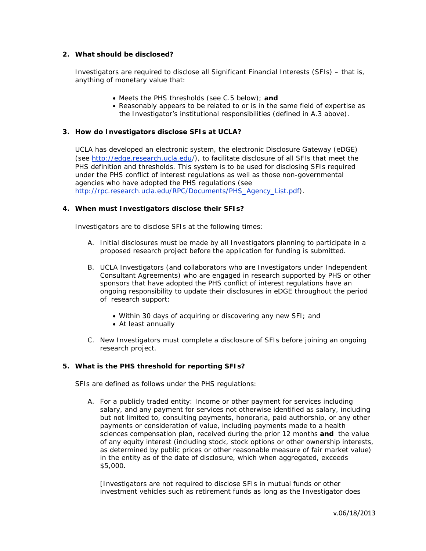## **2. What should be disclosed?**

Investigators are required to disclose all Significant Financial Interests (SFIs) – that is, anything of monetary value that:

- Meets the PHS thresholds (see C.5 below); **and**
- Reasonably appears to be related to or is in the same field of expertise as the Investigator's institutional responsibilities (defined in A.3 above).

# **3. How do Investigators disclose SFIs at UCLA?**

UCLA has developed an electronic system, the electronic Disclosure Gateway (eDGE) (see http://edge.research.ucla.edu/), to facilitate disclosure of all SFIs that meet the PHS definition and thresholds. This system is to be used for disclosing SFIs required under the PHS conflict of interest regulations as well as those non-governmental agencies who have adopted the PHS regulations (see http://rpc.research.ucla.edu/RPC/Documents/PHS\_Agency\_List.pdf).

## **4. When must Investigators disclose their SFIs?**

Investigators are to disclose SFIs at the following times:

- A. Initial disclosures must be made by all Investigators planning to participate in a proposed research project before the application for funding is submitted.
- B. UCLA Investigators (and collaborators who are Investigators under Independent Consultant Agreements) who are engaged in research supported by PHS or other sponsors that have adopted the PHS conflict of interest regulations have an ongoing responsibility to update their disclosures in eDGE throughout the period of research support:
	- Within 30 days of acquiring or discovering any new SFI; and
	- At least annually
- C. New Investigators must complete a disclosure of SFIs before joining an ongoing research project.

## **5. What is the PHS threshold for reporting SFIs?**

SFIs are defined as follows under the PHS regulations:

A. For a *publicly traded entity*: Income or other payment for services including salary, and any payment for services not otherwise identified as salary, including but not limited to, consulting payments, honoraria, paid authorship, or any other payments or consideration of value, including payments made to a health sciences compensation plan, received during the prior 12 months *and* the value of any equity interest (including stock, stock options or other ownership interests, as determined by public prices or other reasonable measure of fair market value) in the entity as of the date of disclosure, which when aggregated, exceeds \$5,000.

*[Investigators are not required to disclose SFIs in mutual funds or other investment vehicles such as retirement funds as long as the Investigator does*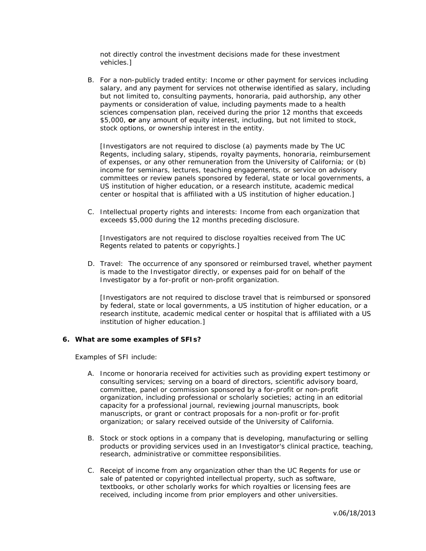*not directly control the investment decisions made for these investment vehicles.]* 

B. For a *non-publicly traded entity*: Income or other payment for services including salary, and any payment for services not otherwise identified as salary, including but not limited to, consulting payments, honoraria, paid authorship, any other payments or consideration of value, including payments made to a health sciences compensation plan, received during the prior 12 months that exceeds \$5,000, *or* any amount of equity interest, including, but not limited to stock, stock options, or ownership interest in the entity.

*[Investigators are not required to disclose (a) payments made by The UC Regents, including salary, stipends, royalty payments, honoraria, reimbursement of expenses, or any other remuneration from the University of California; or (b) income for seminars, lectures, teaching engagements, or service on advisory committees or review panels sponsored by federal, state or local governments, a US institution of higher education, or a research institute, academic medical center or hospital that is affiliated with a US institution of higher education.]* 

C. *Intellectual property rights and interests:* Income from each organization that exceeds \$5,000 during the 12 months preceding disclosure.

*[Investigators are not required to disclose royalties received from The UC Regents related to patents or copyrights.]* 

D. *Travel:* The occurrence of any sponsored or reimbursed travel, whether payment is made to the Investigator directly, or expenses paid for on behalf of the Investigator by a for-profit or non-profit organization.

*[Investigators are not required to disclose travel that is reimbursed or sponsored by federal, state or local governments, a US institution of higher education, or a research institute, academic medical center or hospital that is affiliated with a US institution of higher education.]* 

## **6. What are some examples of SFIs?**

Examples of SFI include:

- A. Income or honoraria received for activities such as providing expert testimony or consulting services; serving on a board of directors, scientific advisory board, committee, panel or commission sponsored by a for-profit or non-profit organization, including professional or scholarly societies; acting in an editorial capacity for a professional journal, reviewing journal manuscripts, book manuscripts, or grant or contract proposals for a non-profit or for-profit organization; or salary received outside of the University of California.
- B. Stock or stock options in a company that is developing, manufacturing or selling products or providing services used in an Investigator's clinical practice, teaching, research, administrative or committee responsibilities.
- C. Receipt of income from any organization other than the UC Regents for use or sale of patented or copyrighted intellectual property, such as software, textbooks, or other scholarly works for which royalties or licensing fees are received, including income from prior employers and other universities.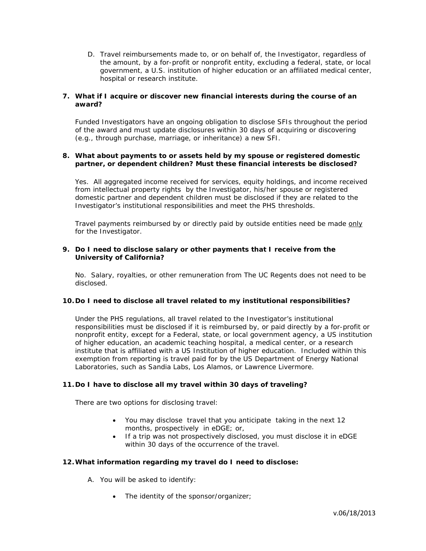D. Travel reimbursements made to, or on behalf of, the Investigator, regardless of the amount, by a for-profit or nonprofit entity, *excluding* a federal, state, or local government, a U.S. institution of higher education or an affiliated medical center, hospital or research institute.

## **7. What if I acquire or discover new financial interests during the course of an award?**

Funded Investigators have an ongoing obligation to disclose SFIs throughout the period of the award and must update disclosures within 30 days of acquiring or discovering (e.g., through purchase, marriage, or inheritance) a new SFI.

## **8. What about payments to or assets held by my spouse or registered domestic partner, or dependent children? Must these financial interests be disclosed?**

Yes. All aggregated income received for services, equity holdings, and income received from intellectual property rights by the Investigator, his/her spouse or registered domestic partner and dependent children must be disclosed if they are related to the Investigator's institutional responsibilities and meet the PHS thresholds.

Travel payments reimbursed by or directly paid by outside entities need be made only for the Investigator.

## **9. Do I need to disclose salary or other payments that I receive from the University of California?**

No. Salary, royalties, or other remuneration from The UC Regents does not need to be disclosed.

## **10.Do I need to disclose all travel related to my institutional responsibilities?**

Under the PHS regulations, all travel related to the Investigator's institutional responsibilities must be disclosed if it is reimbursed by, or paid directly by a for-profit or nonprofit entity, except for a Federal, state, or local government agency, a US institution of higher education, an academic teaching hospital, a medical center, or a research institute that is affiliated with a US Institution of higher education. Included within this exemption from reporting is travel paid for by the US Department of Energy National Laboratories, such as Sandia Labs, Los Alamos, or Lawrence Livermore.

## **11.Do I have to disclose all my travel within 30 days of traveling?**

There are two options for disclosing travel:

- You may disclose travel that you anticipate taking in the next 12 months, prospectively in eDGE; or,
- If a trip was not prospectively disclosed, you must disclose it in eDGE within 30 days of the occurrence of the travel.

## **12.What information regarding my travel do I need to disclose:**

- A. You will be asked to identify:
	- The identity of the sponsor/organizer;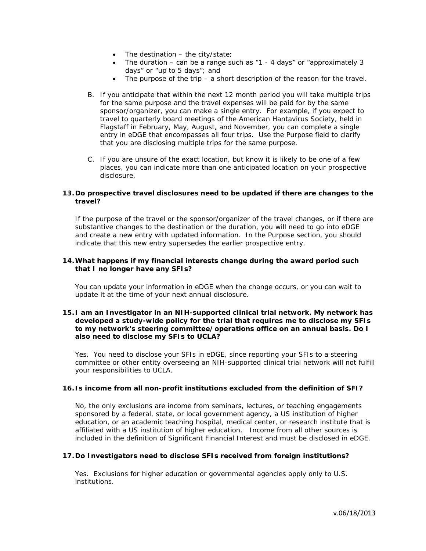- $\bullet$  The destination the city/state;
- The duration can be a range such as  $*1$  4 days" or  $*$ approximately 3 days" or "up to 5 days"; and
- The purpose of the trip a short description of the reason for the travel.
- B. If you anticipate that within the next 12 month period you will take multiple trips for the same purpose and the travel expenses will be paid for by the same sponsor/organizer, you can make a single entry. For example, if you expect to travel to quarterly board meetings of the American Hantavirus Society, held in Flagstaff in February, May, August, and November, you can complete a single entry in eDGE that encompasses all four trips. Use the Purpose field to clarify that you are disclosing multiple trips for the same purpose.
- C. If you are unsure of the exact location, but know it is likely to be one of a few places, you can indicate more than one anticipated location on your prospective disclosure.

## **13.Do prospective travel disclosures need to be updated if there are changes to the travel?**

If the purpose of the travel or the sponsor/organizer of the travel changes, or if there are *substantive* changes to the destination or the duration, you will need to go into eDGE and create a new entry with updated information. In the Purpose section, you should indicate that this new entry supersedes the earlier prospective entry.

#### **14.What happens if my financial interests change during the award period such that I no longer have any SFIs?**

You can update your information in eDGE when the change occurs, or you can wait to update it at the time of your next annual disclosure.

## **15.I am an Investigator in an NIH-supported clinical trial network. My network has developed a study-wide policy for the trial that requires me to disclose my SFIs to my network's steering committee/operations office on an annual basis. Do I also need to disclose my SFIs to UCLA?**

Yes. You need to disclose your SFIs in eDGE, since reporting your SFIs to a steering committee or other entity overseeing an NIH-supported clinical trial network will not fulfill your responsibilities to UCLA.

## **16.Is income from all non-profit institutions excluded from the definition of SFI?**

No, the only exclusions are income from seminars, lectures, or teaching engagements sponsored by a federal, state, or local government agency, a US institution of higher education, or an academic teaching hospital, medical center, or research institute that is affiliated with a US institution of higher education. Income from all other sources is included in the definition of Significant Financial Interest and must be disclosed in eDGE.

## **17.Do Investigators need to disclose SFIs received from foreign institutions?**

Yes. Exclusions for higher education or governmental agencies apply only to U.S. institutions.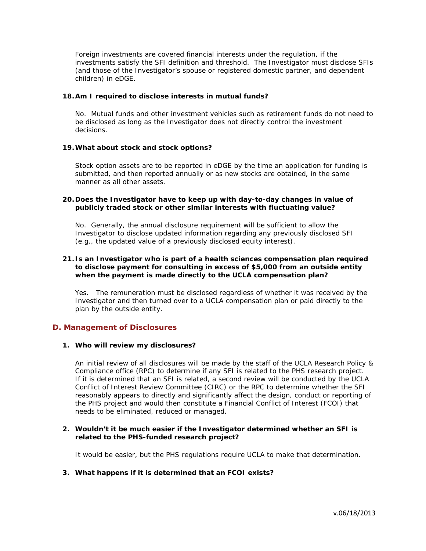Foreign investments are covered financial interests under the regulation, if the investments satisfy the SFI definition and threshold. The Investigator must disclose SFIs (and those of the Investigator's spouse or registered domestic partner, and dependent children) in eDGE.

#### **18.Am I required to disclose interests in mutual funds?**

No. Mutual funds and other investment vehicles such as retirement funds do not need to be disclosed as long as the Investigator does not directly control the investment decisions.

#### **19.What about stock and stock options?**

Stock option assets are to be reported in eDGE by the time an application for funding is submitted, and then reported annually or as new stocks are obtained, in the same manner as all other assets.

#### **20.Does the Investigator have to keep up with day-to-day changes in value of publicly traded stock or other similar interests with fluctuating value?**

No. Generally, the annual disclosure requirement will be sufficient to allow the Investigator to disclose updated information regarding any previously disclosed SFI (e.g., the updated value of a previously disclosed equity interest).

## **21.Is an Investigator who is part of a health sciences compensation plan required to disclose payment for consulting in excess of \$5,000 from an outside entity when the payment is made directly to the UCLA compensation plan?**

Yes. The remuneration must be disclosed regardless of whether it was received by the Investigator and then turned over to a UCLA compensation plan or paid directly to the plan by the outside entity.

# **D. Management of Disclosures**

#### **1. Who will review my disclosures?**

An initial review of all disclosures will be made by the staff of the UCLA Research Policy & Compliance office (RPC) to determine if any SFI is related to the PHS research project. If it is determined that an SFI is related, a second review will be conducted by the UCLA Conflict of Interest Review Committee (CIRC) or the RPC to determine whether the SFI reasonably appears to directly and significantly affect the design, conduct or reporting of the PHS project and would then constitute a Financial Conflict of Interest (FCOI) that needs to be eliminated, reduced or managed.

#### **2. Wouldn't it be much easier if the Investigator determined whether an SFI is related to the PHS-funded research project?**

It would be easier, but the PHS regulations require UCLA to make that determination.

## **3. What happens if it is determined that an FCOI exists?**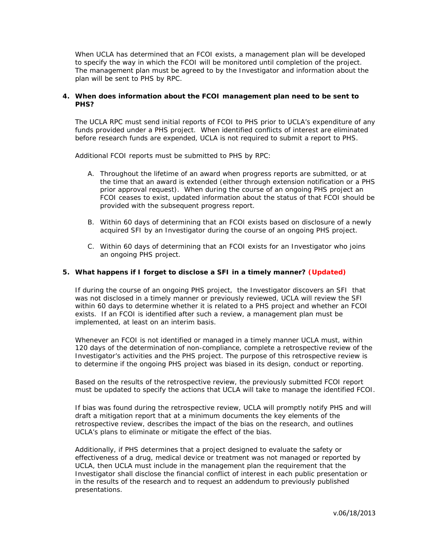When UCLA has determined that an FCOI exists, a management plan will be developed to specify the way in which the FCOI will be monitored until completion of the project. The management plan must be agreed to by the Investigator and information about the plan will be sent to PHS by RPC.

## **4. When does information about the FCOI management plan need to be sent to PHS?**

The UCLA RPC must send initial reports of FCOI to PHS prior to UCLA's expenditure of any funds provided under a PHS project. When identified conflicts of interest are eliminated before research funds are expended, UCLA is not required to submit a report to PHS.

Additional FCOI reports must be submitted to PHS by RPC:

- A. Throughout the lifetime of an award when progress reports are submitted, or at the time that an award is extended (either through extension notification or a PHS prior approval request). When during the course of an ongoing PHS project an FCOI ceases to exist, updated information about the status of that FCOI should be provided with the subsequent progress report.
- B. Within 60 days of determining that an FCOI exists based on disclosure of a newly acquired SFI by an Investigator during the course of an ongoing PHS project.
- C. Within 60 days of determining that an FCOI exists for an Investigator who joins an ongoing PHS project.

#### **5. What happens if I forget to disclose a SFI in a timely manner? (Updated)**

If during the course of an ongoing PHS project, the Investigator discovers an SFI that was not disclosed in a timely manner or previously reviewed, UCLA will review the SFI within 60 days to determine whether it is related to a PHS project and whether an FCOI exists. If an FCOI is identified after such a review, a management plan must be implemented, at least on an interim basis.

Whenever an FCOI is not identified or managed in a timely manner UCLA must, within 120 days of the determination of non-compliance, complete a retrospective review of the Investigator's activities and the PHS project. The purpose of this retrospective review is to determine if the ongoing PHS project was biased in its design, conduct or reporting.

Based on the results of the retrospective review, the previously submitted FCOI report must be updated to specify the actions that UCLA will take to manage the identified FCOI.

If bias was found during the retrospective review, UCLA will promptly notify PHS and will draft a mitigation report that at a minimum documents the key elements of the retrospective review, describes the impact of the bias on the research, and outlines UCLA's plans to eliminate or mitigate the effect of the bias.

Additionally, if PHS determines that a project designed to evaluate the safety or effectiveness of a drug, medical device or treatment was not managed or reported by UCLA, then UCLA must include in the management plan the requirement that the Investigator shall disclose the financial conflict of interest in each public presentation or in the results of the research and to request an addendum to previously published presentations.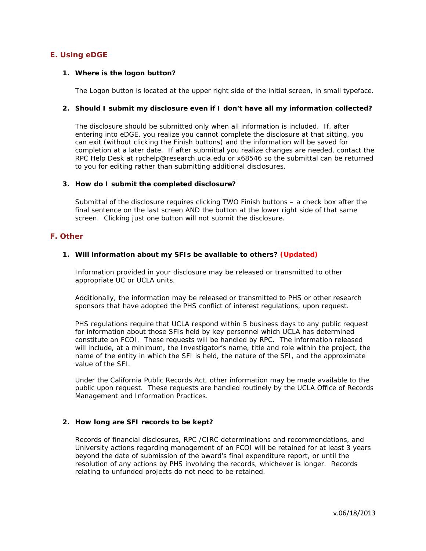# **E. Using eDGE**

#### **1. Where is the logon button?**

The Logon button is located at the upper right side of the initial screen, in small typeface.

#### **2. Should I submit my disclosure even if I don't have all my information collected?**

The disclosure should be submitted only when all information is included. If, after entering into eDGE, you realize you cannot complete the disclosure at that sitting, you can exit (without clicking the Finish buttons) and the information will be saved for completion at a later date. If after submittal you realize changes are needed, contact the RPC Help Desk at rpchelp@research.ucla.edu or x68546 so the submittal can be returned to you for editing rather than submitting additional disclosures.

#### **3. How do I submit the completed disclosure?**

Submittal of the disclosure requires clicking TWO Finish buttons – a check box after the final sentence on the last screen AND the button at the lower right side of that same screen. Clicking just one button will not submit the disclosure.

## **F. Other**

#### **1. Will information about my SFIs be available to others? (Updated)**

Information provided in your disclosure may be released or transmitted to other appropriate UC or UCLA units.

Additionally, the information may be released or transmitted to PHS or other research sponsors that have adopted the PHS conflict of interest regulations, upon request.

PHS regulations require that UCLA respond within 5 business days to any public request for information about those SFIs held by key personnel which UCLA has determined constitute an FCOI. These requests will be handled by RPC. The information released will include, at a minimum, the Investigator's name, title and role within the project, the name of the entity in which the SFI is held, the nature of the SFI, and the approximate value of the SFI.

Under the California Public Records Act, other information may be made available to the public upon request. These requests are handled routinely by the UCLA Office of Records Management and Information Practices.

#### **2. How long are SFI records to be kept?**

Records of financial disclosures, RPC /CIRC determinations and recommendations, and University actions regarding management of an FCOI will be retained for at least 3 years beyond the date of submission of the award's final expenditure report, or until the resolution of any actions by PHS involving the records, whichever is longer. Records relating to unfunded projects do not need to be retained.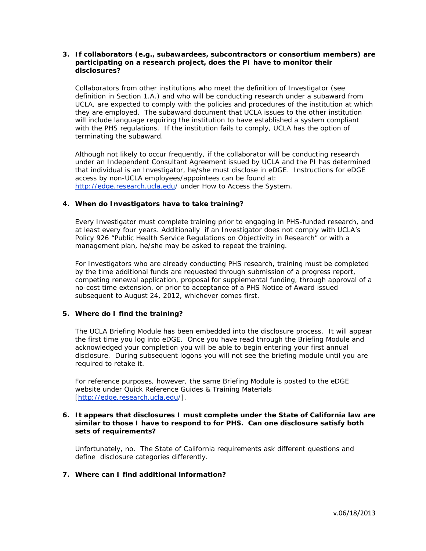## **3. If collaborators (e.g., subawardees, subcontractors or consortium members) are participating on a research project, does the PI have to monitor their disclosures?**

Collaborators from other institutions who meet the definition of Investigator (see definition in Section 1.A.) and who will be conducting research under a subaward from UCLA, are expected to comply with the policies and procedures of the institution at which they are employed. The subaward document that UCLA issues to the other institution will include language requiring the institution to have established a system compliant with the PHS regulations. If the institution fails to comply, UCLA has the option of terminating the subaward.

Although not likely to occur frequently, if the collaborator will be conducting research under an Independent Consultant Agreement issued by UCLA and the PI has determined that individual is an Investigator, he/she must disclose in eDGE. Instructions for eDGE access by non-UCLA employees/appointees can be found at: http://edge.research.ucla.edu/ under How to Access the System.

## **4. When do Investigators have to take training?**

Every Investigator must complete training prior to engaging in PHS-funded research, and at least every four years. Additionally if an Investigator does not comply with UCLA's Policy 926 "Public Health Service Regulations on Objectivity in Research" or with a management plan, he/she may be asked to repeat the training.

For Investigators who are already conducting PHS research, training must be completed by the time additional funds are requested through submission of a progress report, competing renewal application, proposal for supplemental funding, through approval of a no-cost time extension, or prior to acceptance of a PHS Notice of Award issued subsequent to August 24, 2012, whichever comes first.

# **5. Where do I find the training?**

The UCLA Briefing Module has been embedded into the disclosure process. It will appear the first time you log into eDGE. Once you have read through the Briefing Module and acknowledged your completion you will be able to begin entering your first annual disclosure. During subsequent logons you will not see the briefing module until you are required to retake it.

For reference purposes, however, the same Briefing Module is posted to the eDGE website under Quick Reference Guides & Training Materials [http://edge.research.ucla.edu/].

## **6. It appears that disclosures I must complete under the State of California law are similar to those I have to respond to for PHS. Can one disclosure satisfy both sets of requirements?**

Unfortunately, no. The State of California requirements ask different questions and define disclosure categories differently.

# **7. Where can I find additional information?**